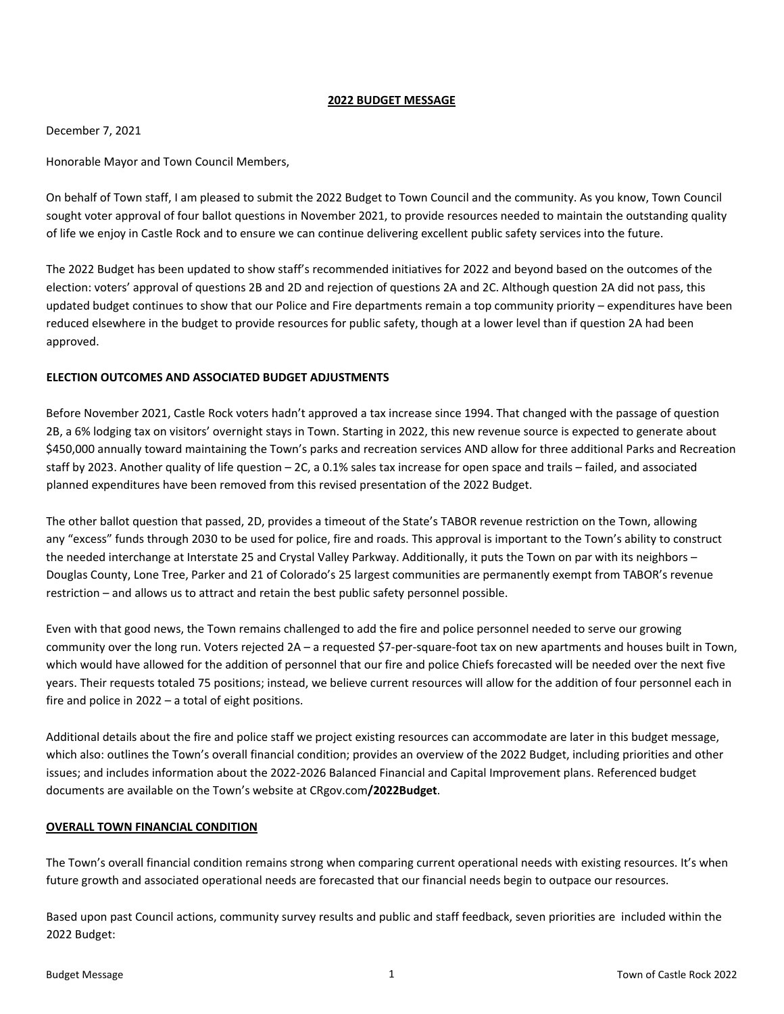#### **2022 BUDGET MESSAGE**

#### December 7, 2021

Honorable Mayor and Town Council Members,

On behalf of Town staff, I am pleased to submit the 2022 Budget to Town Council and the community. As you know, Town Council sought voter approval of four ballot questions in November 2021, to provide resources needed to maintain the outstanding quality of life we enjoy in Castle Rock and to ensure we can continue delivering excellent public safety services into the future.

The 2022 Budget has been updated to show staff's recommended initiatives for 2022 and beyond based on the outcomes of the election: voters' approval of questions 2B and 2D and rejection of questions 2A and 2C. Although question 2A did not pass, this updated budget continues to show that our Police and Fire departments remain a top community priority – expenditures have been reduced elsewhere in the budget to provide resources for public safety, though at a lower level than if question 2A had been approved.

### **ELECTION OUTCOMES AND ASSOCIATED BUDGET ADJUSTMENTS**

Before November 2021, Castle Rock voters hadn't approved a tax increase since 1994. That changed with the passage of question 2B, a 6% lodging tax on visitors' overnight stays in Town. Starting in 2022, this new revenue source is expected to generate about \$450,000 annually toward maintaining the Town's parks and recreation services AND allow for three additional Parks and Recreation staff by 2023. Another quality of life question – 2C, a 0.1% sales tax increase for open space and trails – failed, and associated planned expenditures have been removed from this revised presentation of the 2022 Budget.

The other ballot question that passed, 2D, provides a timeout of the State's TABOR revenue restriction on the Town, allowing any "excess" funds through 2030 to be used for police, fire and roads. This approval is important to the Town's ability to construct the needed interchange at Interstate 25 and Crystal Valley Parkway. Additionally, it puts the Town on par with its neighbors – Douglas County, Lone Tree, Parker and 21 of Colorado's 25 largest communities are permanently exempt from TABOR's revenue restriction – and allows us to attract and retain the best public safety personnel possible.

Even with that good news, the Town remains challenged to add the fire and police personnel needed to serve our growing community over the long run. Voters rejected 2A – a requested \$7-per-square-foot tax on new apartments and houses built in Town, which would have allowed for the addition of personnel that our fire and police Chiefs forecasted will be needed over the next five years. Their requests totaled 75 positions; instead, we believe current resources will allow for the addition of four personnel each in fire and police in 2022 – a total of eight positions.

Additional details about the fire and police staff we project existing resources can accommodate are later in this budget message, which also: outlines the Town's overall financial condition; provides an overview of the 2022 Budget, including priorities and other issues; and includes information about the 2022‐2026 Balanced Financial and Capital Improvement plans. Referenced budget documents are available on the Town's website at CRgov.com**/2022Budget**.

### **OVERALL TOWN FINANCIAL CONDITION**

The Town's overall financial condition remains strong when comparing current operational needs with existing resources. It's when future growth and associated operational needs are forecasted that our financial needs begin to outpace our resources.

Based upon past Council actions, community survey results and public and staff feedback, seven priorities are included within the 2022 Budget: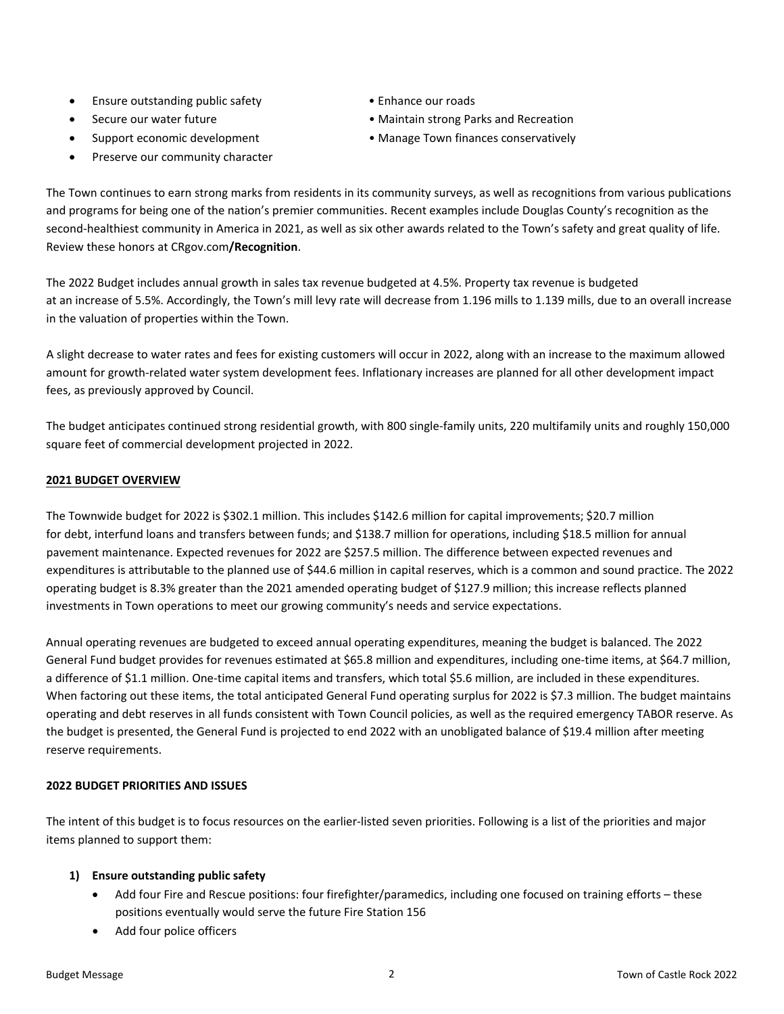- Ensure outstanding public safety Enhance our roads
- 
- 
- Preserve our community character
- 
- Secure our water future Maintain strong Parks and Recreation
- Support economic development Manage Town finances conservatively

The Town continues to earn strong marks from residents in its community surveys, as well as recognitions from various publications and programs for being one of the nation's premier communities. Recent examples include Douglas County's recognition as the second-healthiest community in America in 2021, as well as six other awards related to the Town's safety and great quality of life. Review these honors at CRgov.com**/Recognition**.

The 2022 Budget includes annual growth in sales tax revenue budgeted at 4.5%. Property tax revenue is budgeted at an increase of 5.5%. Accordingly, the Town's mill levy rate will decrease from 1.196 mills to 1.139 mills, due to an overall increase in the valuation of properties within the Town.

A slight decrease to water rates and fees for existing customers will occur in 2022, along with an increase to the maximum allowed amount for growth‐related water system development fees. Inflationary increases are planned for all other development impact fees, as previously approved by Council.

The budget anticipates continued strong residential growth, with 800 single‐family units, 220 multifamily units and roughly 150,000 square feet of commercial development projected in 2022.

### **2021 BUDGET OVERVIEW**

The Townwide budget for 2022 is \$302.1 million. This includes \$142.6 million for capital improvements; \$20.7 million for debt, interfund loans and transfers between funds; and \$138.7 million for operations, including \$18.5 million for annual pavement maintenance. Expected revenues for 2022 are \$257.5 million. The difference between expected revenues and expenditures is attributable to the planned use of \$44.6 million in capital reserves, which is a common and sound practice. The 2022 operating budget is 8.3% greater than the 2021 amended operating budget of \$127.9 million; this increase reflects planned investments in Town operations to meet our growing community's needs and service expectations.

Annual operating revenues are budgeted to exceed annual operating expenditures, meaning the budget is balanced. The 2022 General Fund budget provides for revenues estimated at \$65.8 million and expenditures, including one‐time items, at \$64.7 million, a difference of \$1.1 million. One‐time capital items and transfers, which total \$5.6 million, are included in these expenditures. When factoring out these items, the total anticipated General Fund operating surplus for 2022 is \$7.3 million. The budget maintains operating and debt reserves in all funds consistent with Town Council policies, as well as the required emergency TABOR reserve. As the budget is presented, the General Fund is projected to end 2022 with an unobligated balance of \$19.4 million after meeting reserve requirements.

### **2022 BUDGET PRIORITIES AND ISSUES**

The intent of this budget is to focus resources on the earlier‐listed seven priorities. Following is a list of the priorities and major items planned to support them:

### **1) Ensure outstanding public safety**

- Add four Fire and Rescue positions: four firefighter/paramedics, including one focused on training efforts these positions eventually would serve the future Fire Station 156
- Add four police officers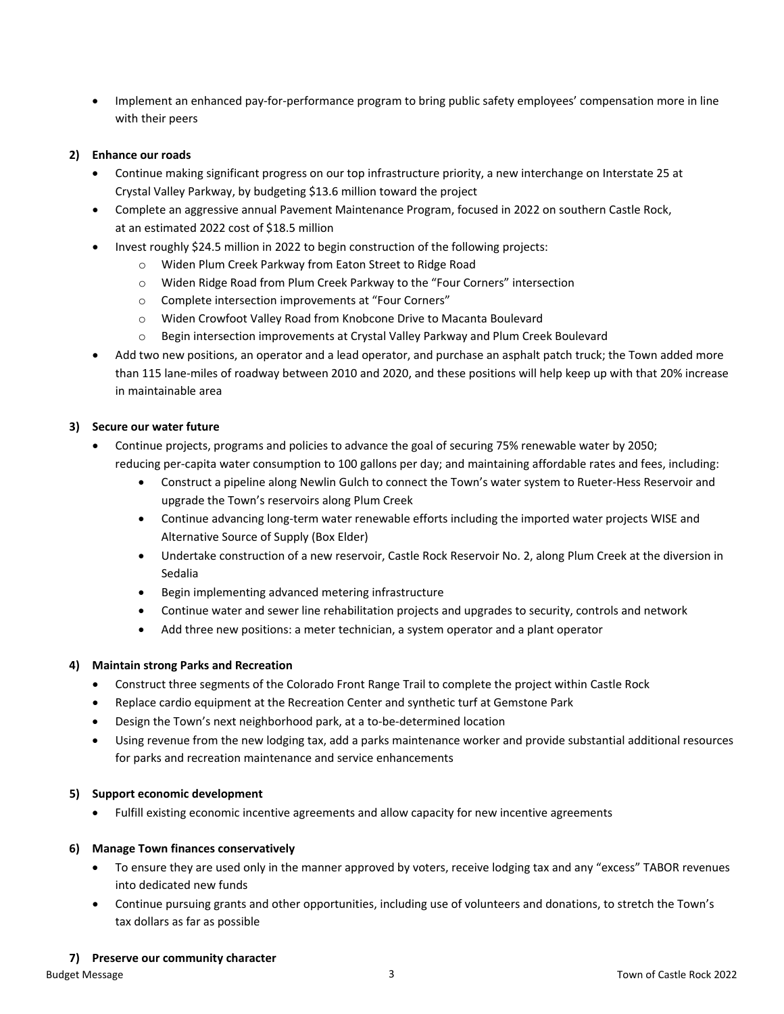Implement an enhanced pay‐for‐performance program to bring public safety employees' compensation more in line with their peers

### **2) Enhance our roads**

- Continue making significant progress on our top infrastructure priority, a new interchange on Interstate 25 at Crystal Valley Parkway, by budgeting \$13.6 million toward the project
- Complete an aggressive annual Pavement Maintenance Program, focused in 2022 on southern Castle Rock, at an estimated 2022 cost of \$18.5 million
- Invest roughly \$24.5 million in 2022 to begin construction of the following projects:
	- o Widen Plum Creek Parkway from Eaton Street to Ridge Road
	- o Widen Ridge Road from Plum Creek Parkway to the "Four Corners" intersection
	- o Complete intersection improvements at "Four Corners"
	- o Widen Crowfoot Valley Road from Knobcone Drive to Macanta Boulevard
	- o Begin intersection improvements at Crystal Valley Parkway and Plum Creek Boulevard
- Add two new positions, an operator and a lead operator, and purchase an asphalt patch truck; the Town added more than 115 lane‐miles of roadway between 2010 and 2020, and these positions will help keep up with that 20% increase in maintainable area

# **3) Secure our water future**

- Continue projects, programs and policies to advance the goal of securing 75% renewable water by 2050; reducing per-capita water consumption to 100 gallons per day; and maintaining affordable rates and fees, including:
	- Construct a pipeline along Newlin Gulch to connect the Town's water system to Rueter-Hess Reservoir and upgrade the Town's reservoirs along Plum Creek
	- Continue advancing long-term water renewable efforts including the imported water projects WISE and Alternative Source of Supply (Box Elder)
	- Undertake construction of a new reservoir, Castle Rock Reservoir No. 2, along Plum Creek at the diversion in Sedalia
	- Begin implementing advanced metering infrastructure
	- Continue water and sewer line rehabilitation projects and upgrades to security, controls and network
	- Add three new positions: a meter technician, a system operator and a plant operator

### **4) Maintain strong Parks and Recreation**

- Construct three segments of the Colorado Front Range Trail to complete the project within Castle Rock
- Replace cardio equipment at the Recreation Center and synthetic turf at Gemstone Park
- Design the Town's next neighborhood park, at a to‐be‐determined location
- Using revenue from the new lodging tax, add a parks maintenance worker and provide substantial additional resources for parks and recreation maintenance and service enhancements

### **5) Support economic development**

Fulfill existing economic incentive agreements and allow capacity for new incentive agreements

### **6) Manage Town finances conservatively**

- To ensure they are used only in the manner approved by voters, receive lodging tax and any "excess" TABOR revenues into dedicated new funds
- Continue pursuing grants and other opportunities, including use of volunteers and donations, to stretch the Town's tax dollars as far as possible

### **7) Preserve our community character**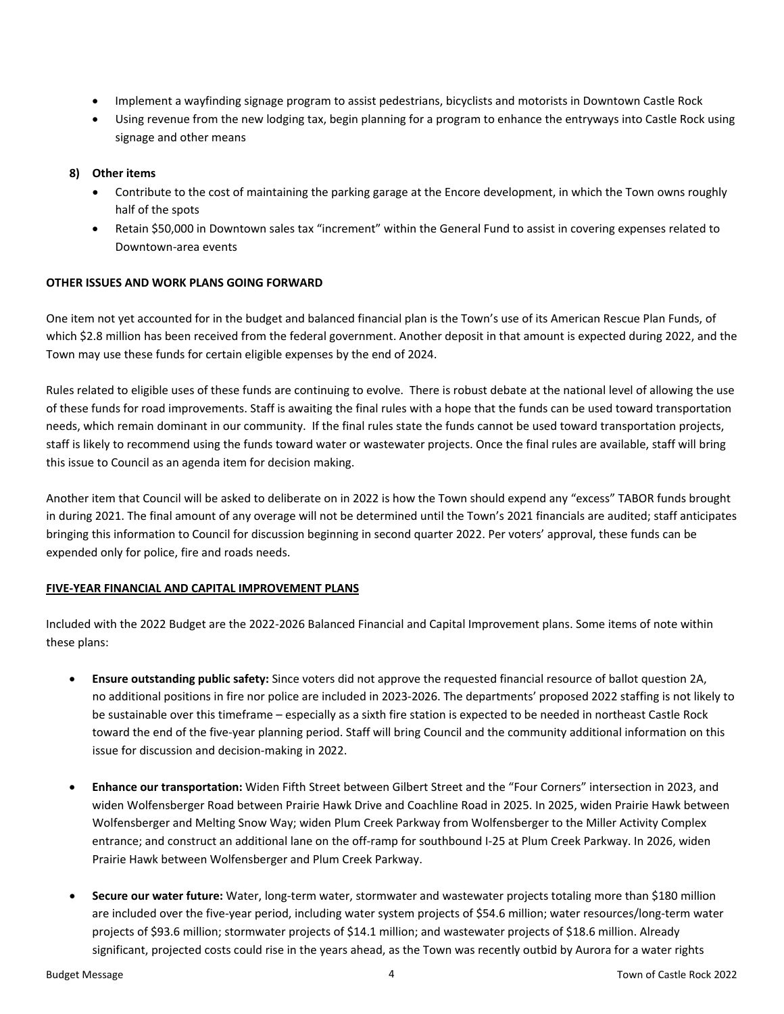- Implement a wayfinding signage program to assist pedestrians, bicyclists and motorists in Downtown Castle Rock
- Using revenue from the new lodging tax, begin planning for a program to enhance the entryways into Castle Rock using signage and other means

### **8) Other items**

- Contribute to the cost of maintaining the parking garage at the Encore development, in which the Town owns roughly half of the spots
- Retain \$50,000 in Downtown sales tax "increment" within the General Fund to assist in covering expenses related to Downtown‐area events

### **OTHER ISSUES AND WORK PLANS GOING FORWARD**

One item not yet accounted for in the budget and balanced financial plan is the Town's use of its American Rescue Plan Funds, of which \$2.8 million has been received from the federal government. Another deposit in that amount is expected during 2022, and the Town may use these funds for certain eligible expenses by the end of 2024.

Rules related to eligible uses of these funds are continuing to evolve. There is robust debate at the national level of allowing the use of these funds for road improvements. Staff is awaiting the final rules with a hope that the funds can be used toward transportation needs, which remain dominant in our community. If the final rules state the funds cannot be used toward transportation projects, staff is likely to recommend using the funds toward water or wastewater projects. Once the final rules are available, staff will bring this issue to Council as an agenda item for decision making.

Another item that Council will be asked to deliberate on in 2022 is how the Town should expend any "excess" TABOR funds brought in during 2021. The final amount of any overage will not be determined until the Town's 2021 financials are audited; staff anticipates bringing this information to Council for discussion beginning in second quarter 2022. Per voters' approval, these funds can be expended only for police, fire and roads needs.

# **FIVE‐YEAR FINANCIAL AND CAPITAL IMPROVEMENT PLANS**

Included with the 2022 Budget are the 2022‐2026 Balanced Financial and Capital Improvement plans. Some items of note within these plans:

- **Ensure outstanding public safety:** Since voters did not approve the requested financial resource of ballot question 2A, no additional positions in fire nor police are included in 2023‐2026. The departments' proposed 2022 staffing is not likely to be sustainable over this timeframe – especially as a sixth fire station is expected to be needed in northeast Castle Rock toward the end of the five‐year planning period. Staff will bring Council and the community additional information on this issue for discussion and decision‐making in 2022.
- **Enhance our transportation:** Widen Fifth Street between Gilbert Street and the "Four Corners" intersection in 2023, and widen Wolfensberger Road between Prairie Hawk Drive and Coachline Road in 2025. In 2025, widen Prairie Hawk between Wolfensberger and Melting Snow Way; widen Plum Creek Parkway from Wolfensberger to the Miller Activity Complex entrance; and construct an additional lane on the off-ramp for southbound I-25 at Plum Creek Parkway. In 2026, widen Prairie Hawk between Wolfensberger and Plum Creek Parkway.
- **Secure our water future:** Water, long‐term water, stormwater and wastewater projects totaling more than \$180 million are included over the five-year period, including water system projects of \$54.6 million; water resources/long-term water projects of \$93.6 million; stormwater projects of \$14.1 million; and wastewater projects of \$18.6 million. Already significant, projected costs could rise in the years ahead, as the Town was recently outbid by Aurora for a water rights